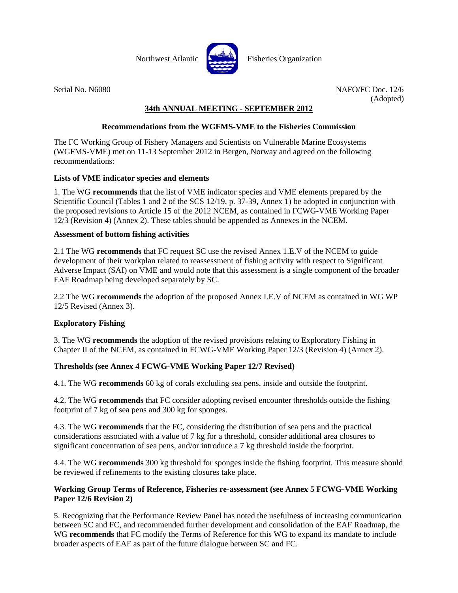

Serial No. N6080 NAFO/FC Doc. 12/6 (Adopted)

# **34th ANNUAL MEETING - SEPTEMBER 2012**

# **Recommendations from the WGFMS-VME to the Fisheries Commission**

The FC Working Group of Fishery Managers and Scientists on Vulnerable Marine Ecosystems (WGFMS-VME) met on 11-13 September 2012 in Bergen, Norway and agreed on the following recommendations:

# **Lists of VME indicator species and elements**

1. The WG **recommends** that the list of VME indicator species and VME elements prepared by the Scientific Council (Tables 1 and 2 of the SCS 12/19, p. 37-39, Annex 1) be adopted in conjunction with the proposed revisions to Article 15 of the 2012 NCEM, as contained in FCWG-VME Working Paper 12/3 (Revision 4) (Annex 2). These tables should be appended as Annexes in the NCEM.

# **Assessment of bottom fishing activities**

2.1 The WG **recommends** that FC request SC use the revised Annex 1.E.V of the NCEM to guide development of their workplan related to reassessment of fishing activity with respect to Significant Adverse Impact (SAI) on VME and would note that this assessment is a single component of the broader EAF Roadmap being developed separately by SC.

2.2 The WG **recommends** the adoption of the proposed Annex I.E.V of NCEM as contained in WG WP 12/5 Revised (Annex 3).

# **Exploratory Fishing**

3. The WG **recommends** the adoption of the revised provisions relating to Exploratory Fishing in Chapter II of the NCEM, as contained in FCWG-VME Working Paper 12/3 (Revision 4) (Annex 2).

# **Thresholds (see Annex 4 FCWG-VME Working Paper 12/7 Revised)**

4.1. The WG **recommends** 60 kg of corals excluding sea pens, inside and outside the footprint.

4.2. The WG **recommends** that FC consider adopting revised encounter thresholds outside the fishing footprint of 7 kg of sea pens and 300 kg for sponges.

4.3. The WG **recommends** that the FC, considering the distribution of sea pens and the practical considerations associated with a value of 7 kg for a threshold, consider additional area closures to significant concentration of sea pens, and/or introduce a 7 kg threshold inside the footprint.

4.4. The WG **recommends** 300 kg threshold for sponges inside the fishing footprint. This measure should be reviewed if refinements to the existing closures take place.

# **Working Group Terms of Reference, Fisheries re-assessment (see Annex 5 FCWG-VME Working Paper 12/6 Revision 2)**

5. Recognizing that the Performance Review Panel has noted the usefulness of increasing communication between SC and FC, and recommended further development and consolidation of the EAF Roadmap, the WG **recommends** that FC modify the Terms of Reference for this WG to expand its mandate to include broader aspects of EAF as part of the future dialogue between SC and FC.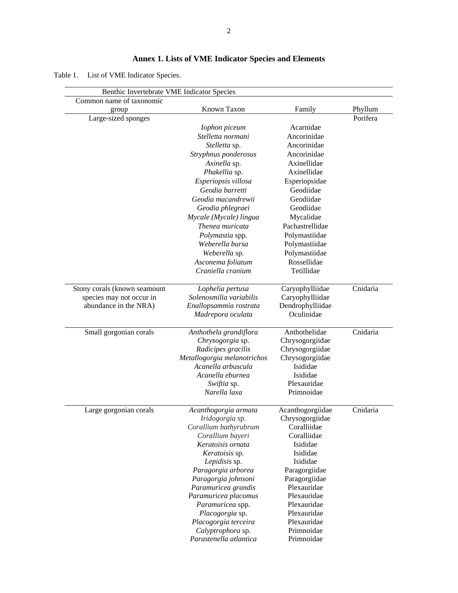# **Annex 1. Lists of VME Indicator Species and Elements**

Table 1. List of VME Indicator Species.

| Benthic Invertebrate VME Indicator Species |                             |                  |          |
|--------------------------------------------|-----------------------------|------------------|----------|
| Common name of taxonomic                   |                             |                  |          |
| group                                      | Known Taxon                 | Family           | Phyllum  |
| Large-sized sponges                        |                             |                  | Porifera |
|                                            | Iophon piceum               | Acarnidae        |          |
|                                            | Stelletta normani           | Ancorinidae      |          |
|                                            | Stelletta sp.               | Ancorinidae      |          |
|                                            | Stryphnus ponderosus        | Ancorinidae      |          |
|                                            | Axinella sp.                | Axinellidae      |          |
|                                            | Phakellia sp.               | Axinellidae      |          |
|                                            | Esperiopsis villosa         | Esperiopsidae    |          |
|                                            | Geodia barretti             | Geodiidae        |          |
|                                            | Geodia macandrewii          | Geodiidae        |          |
|                                            | Geodia phlegraei            | Geodiidae        |          |
|                                            |                             |                  |          |
|                                            | Mycale (Mycale) lingua      | Mycalidae        |          |
|                                            | Thenea muricata             | Pachastrellidae  |          |
|                                            | <i>Polymastia</i> spp.      | Polymastiidae    |          |
|                                            | Weberella bursa             | Polymastiidae    |          |
|                                            | Weberella sp.               | Polymastiidae    |          |
|                                            | Asconema foliatum           | Rossellidae      |          |
|                                            | Craniella cranium           | Tetillidae       |          |
| Stony corals (known seamount               | Lophelia pertusa            | Caryophylliidae  | Cnidaria |
| species may not occur in                   | Solenosmilia variabilis     | Caryophylliidae  |          |
| abundance in the NRA)                      | Enallopsammia rostrata      | Dendrophylliidae |          |
|                                            | Madrepora oculata           | Oculinidae       |          |
| Small gorgonian corals                     | Anthothela grandiflora      | Anthothelidae    | Cnidaria |
|                                            | Chrysogorgia sp.            | Chrysogorgiidae  |          |
|                                            | Radicipes gracilis          | Chrysogorgiidae  |          |
|                                            | Metallogorgia melanotrichos | Chrysogorgiidae  |          |
|                                            | Acanella arbuscula          | Isididae         |          |
|                                            | Acanella eburnea            | Isididae         |          |
|                                            | Swiftia sp.                 | Plexauridae      |          |
|                                            | Narella laxa                | Primnoidae       |          |
|                                            |                             |                  |          |
| Large gorgonian corals                     | Acanthogorgia armata        | Acanthogorgiidae | Cnidaria |
|                                            | Iridogorgia sp.             | Chrysogorgiidae  |          |
|                                            | Corallium bathyrubrum       | Coralliidae      |          |
|                                            | Corallium bayeri            | Coralliidae      |          |
|                                            | Keratoisis ornata           | Isididae         |          |
|                                            | Keratoisis sp.              | Isididae         |          |
|                                            | Lepidisis sp.               | Isididae         |          |
|                                            | Paragorgia arborea          | Paragorgiidae    |          |
|                                            | Paragorgia johnsoni         | Paragorgiidae    |          |
|                                            | Paramuricea grandis         | Plexauridae      |          |
|                                            | Paramuricea placomus        | Plexauridae      |          |
|                                            | Paramuricea spp.            | Plexauridae      |          |
|                                            | Placogorgia sp.             | Plexauridae      |          |
|                                            | Placogorgia terceira        | Plexauridae      |          |
|                                            | Calyptrophora sp.           | Primnoidae       |          |
|                                            | Parastenella atlantica      | Primnoidae       |          |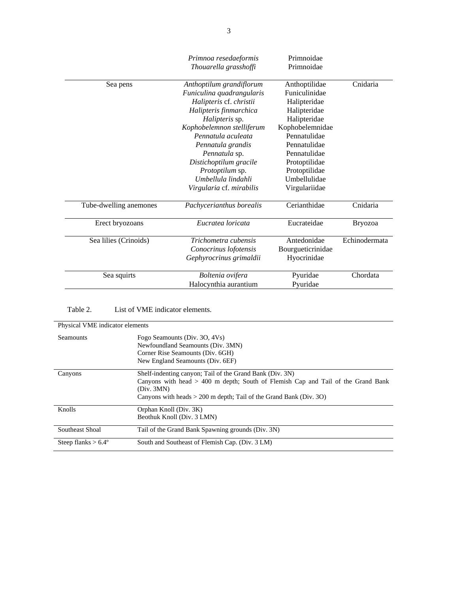|                        | Primnoa resedaeformis<br>Thouarella grasshoffi                                   | Primnoidae<br>Primnoidae                        |                |
|------------------------|----------------------------------------------------------------------------------|-------------------------------------------------|----------------|
| Sea pens               | Anthoptilum grandiflorum<br>Funiculina quadrangularis<br>Halipteris cf. christii | Anthoptilidae<br>Funiculinidae<br>Halipteridae  | Cnidaria       |
|                        | Halipteris finmarchica<br>Halipteris sp.                                         | Halipteridae<br>Halipteridae                    |                |
|                        | Kophobelemnon stelliferum<br>Pennatula aculeata                                  | Kophobelemnidae<br>Pennatulidae                 |                |
|                        | Pennatula grandis<br>Pennatula sp.                                               | Pennatulidae<br>Pennatulidae                    |                |
|                        | Distichoptilum gracile<br>Protoptilum sp.                                        | Protoptilidae<br>Protoptilidae                  |                |
|                        | Umbellula lindahli<br>Virgularia cf. mirabilis                                   | Umbellulidae<br>Virgulariidae                   |                |
| Tube-dwelling anemones | Pachycerianthus borealis                                                         | Cerianthidae                                    | Cnidaria       |
| Erect bryozoans        | Eucratea loricata                                                                | Eucrateidae                                     | <b>Bryozoa</b> |
| Sea lilies (Crinoids)  | Trichometra cubensis<br>Conocrinus lofotensis<br>Gephyrocrinus grimaldii         | Antedonidae<br>Bourgueticrinidae<br>Hyocrinidae | Echinodermata  |
| Sea squirts            | Boltenia ovifera<br>Halocynthia aurantium                                        | Pyuridae<br>Pyuridae                            | Chordata       |

# Table 2. List of VME indicator elements.

| Physical VME indicator elements |                                                                                                                                                                                                                                      |  |
|---------------------------------|--------------------------------------------------------------------------------------------------------------------------------------------------------------------------------------------------------------------------------------|--|
| Seamounts                       | Fogo Seamounts (Div. 30, 4Vs)<br>Newfoundland Seamounts (Div. 3MN)<br>Corner Rise Seamounts (Div. 6GH)<br>New England Seamounts (Div. 6EF)                                                                                           |  |
| Canyons                         | Shelf-indenting canyon; Tail of the Grand Bank (Div. 3N)<br>Canyons with head $>$ 400 m depth; South of Flemish Cap and Tail of the Grand Bank<br>(Div. 3MN)<br>Canyons with heads $> 200$ m depth; Tail of the Grand Bank (Div. 3O) |  |
| Knolls                          | Orphan Knoll (Div. 3K)<br>Beothuk Knoll (Div. 3 LMN)                                                                                                                                                                                 |  |
| Southeast Shoal                 | Tail of the Grand Bank Spawning grounds (Div. 3N)                                                                                                                                                                                    |  |
| Steep flanks $> 6.4^{\circ}$    | South and Southeast of Flemish Cap. (Div. 3 LM)                                                                                                                                                                                      |  |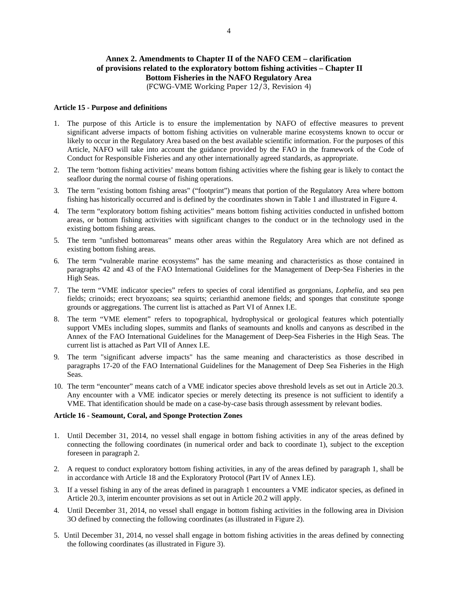# **Annex 2. Amendments to Chapter II of the NAFO CEM – clarification of provisions related to the exploratory bottom fishing activities – Chapter II Bottom Fisheries in the NAFO Regulatory Area**

(FCWG-VME Working Paper 12/3, Revision 4)

### **Article 15 - Purpose and definitions**

- 1. The purpose of this Article is to ensure the implementation by NAFO of effective measures to prevent significant adverse impacts of bottom fishing activities on vulnerable marine ecosystems known to occur or likely to occur in the Regulatory Area based on the best available scientific information. For the purposes of this Article, NAFO will take into account the guidance provided by the FAO in the framework of the Code of Conduct for Responsible Fisheries and any other internationally agreed standards, as appropriate.
- 2. The term 'bottom fishing activities' means bottom fishing activities where the fishing gear is likely to contact the seafloor during the normal course of fishing operations.
- 3. The term "existing bottom fishing areas" ("footprint") means that portion of the Regulatory Area where bottom fishing has historically occurred and is defined by the coordinates shown in Table 1 and illustrated in Figure 4.
- 4. The term "exploratory bottom fishing activities" means bottom fishing activities conducted in unfished bottom areas, or bottom fishing activities with significant changes to the conduct or in the technology used in the existing bottom fishing areas.
- 5. The term "unfished bottomareas" means other areas within the Regulatory Area which are not defined as existing bottom fishing areas.
- 6. The term "vulnerable marine ecosystems" has the same meaning and characteristics as those contained in paragraphs 42 and 43 of the FAO International Guidelines for the Management of Deep-Sea Fisheries in the High Seas.
- 7. The term "VME indicator species" refers to species of coral identified as gorgonians, *Lophelia*, and sea pen fields; crinoids; erect bryozoans; sea squirts; cerianthid anemone fields; and sponges that constitute sponge grounds or aggregations. The current list is attached as Part VI of Annex I.E.
- 8. The term "VME element" refers to topographical, hydrophysical or geological features which potentially support VMEs including slopes, summits and flanks of seamounts and knolls and canyons as described in the Annex of the FAO International Guidelines for the Management of Deep-Sea Fisheries in the High Seas. The current list is attached as Part VII of Annex I.E.
- 9. The term "significant adverse impacts" has the same meaning and characteristics as those described in paragraphs 17-20 of the FAO International Guidelines for the Management of Deep Sea Fisheries in the High Seas.
- 10. The term "encounter" means catch of a VME indicator species above threshold levels as set out in Article 20.3. Any encounter with a VME indicator species or merely detecting its presence is not sufficient to identify a VME. That identification should be made on a case-by-case basis through assessment by relevant bodies.

#### **Article 16 - Seamount, Coral, and Sponge Protection Zones**

- 1. Until December 31, 2014, no vessel shall engage in bottom fishing activities in any of the areas defined by connecting the following coordinates (in numerical order and back to coordinate 1), subject to the exception foreseen in paragraph 2.
- 2. A request to conduct exploratory bottom fishing activities, in any of the areas defined by paragraph 1, shall be in accordance with Article 18 and the Exploratory Protocol (Part IV of Annex I.E).
- 3. If a vessel fishing in any of the areas defined in paragraph 1 encounters a VME indicator species, as defined in Article 20.3, interim encounter provisions as set out in Article 20.2 will apply.
- 4. Until December 31, 2014, no vessel shall engage in bottom fishing activities in the following area in Division 3O defined by connecting the following coordinates (as illustrated in Figure 2).
- 5. Until December 31, 2014, no vessel shall engage in bottom fishing activities in the areas defined by connecting the following coordinates (as illustrated in Figure 3).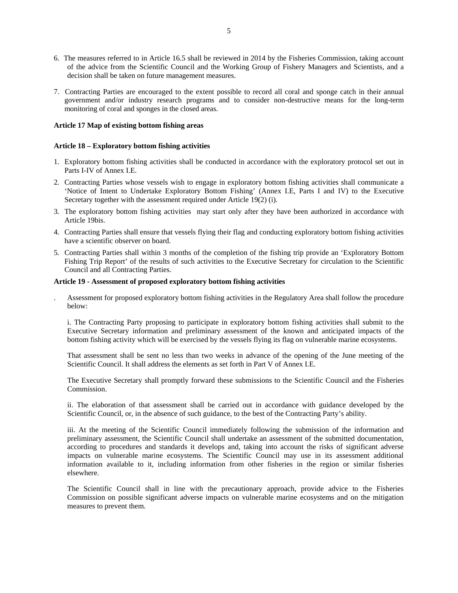- 6. The measures referred to in Article 16.5 shall be reviewed in 2014 by the Fisheries Commission, taking account of the advice from the Scientific Council and the Working Group of Fishery Managers and Scientists, and a decision shall be taken on future management measures.
- 7. Contracting Parties are encouraged to the extent possible to record all coral and sponge catch in their annual government and/or industry research programs and to consider non-destructive means for the long-term monitoring of coral and sponges in the closed areas.

#### **Article 17 Map of existing bottom fishing areas**

#### **Article 18 – Exploratory bottom fishing activities**

- 1. Exploratory bottom fishing activities shall be conducted in accordance with the exploratory protocol set out in Parts I-IV of Annex I.E.
- 2. Contracting Parties whose vessels wish to engage in exploratory bottom fishing activities shall communicate a 'Notice of Intent to Undertake Exploratory Bottom Fishing' (Annex I.E, Parts I and IV) to the Executive Secretary together with the assessment required under Article 19(2) (i).
- 3. The exploratory bottom fishing activities may start only after they have been authorized in accordance with Article 19bis.
- 4. Contracting Parties shall ensure that vessels flying their flag and conducting exploratory bottom fishing activities have a scientific observer on board.
- 5. Contracting Parties shall within 3 months of the completion of the fishing trip provide an 'Exploratory Bottom Fishing Trip Report' of the results of such activities to the Executive Secretary for circulation to the Scientific Council and all Contracting Parties.

### **Article 19 - Assessment of proposed exploratory bottom fishing activities**

. Assessment for proposed exploratory bottom fishing activities in the Regulatory Area shall follow the procedure below:

i. The Contracting Party proposing to participate in exploratory bottom fishing activities shall submit to the Executive Secretary information and preliminary assessment of the known and anticipated impacts of the bottom fishing activity which will be exercised by the vessels flying its flag on vulnerable marine ecosystems.

That assessment shall be sent no less than two weeks in advance of the opening of the June meeting of the Scientific Council. It shall address the elements as set forth in Part V of Annex I.E.

The Executive Secretary shall promptly forward these submissions to the Scientific Council and the Fisheries Commission.

ii. The elaboration of that assessment shall be carried out in accordance with guidance developed by the Scientific Council, or, in the absence of such guidance, to the best of the Contracting Party's ability.

iii. At the meeting of the Scientific Council immediately following the submission of the information and preliminary assessment, the Scientific Council shall undertake an assessment of the submitted documentation, according to procedures and standards it develops and, taking into account the risks of significant adverse impacts on vulnerable marine ecosystems. The Scientific Council may use in its assessment additional information available to it, including information from other fisheries in the region or similar fisheries elsewhere.

The Scientific Council shall in line with the precautionary approach, provide advice to the Fisheries Commission on possible significant adverse impacts on vulnerable marine ecosystems and on the mitigation measures to prevent them.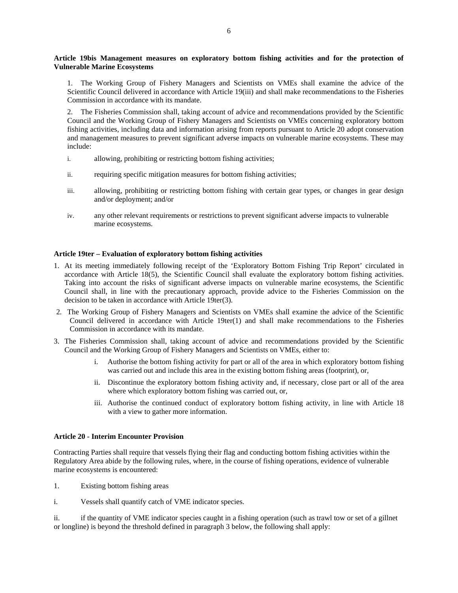## **Article 19bis Management measures on exploratory bottom fishing activities and for the protection of Vulnerable Marine Ecosystems**

1. The Working Group of Fishery Managers and Scientists on VMEs shall examine the advice of the Scientific Council delivered in accordance with Article 19(iii) and shall make recommendations to the Fisheries Commission in accordance with its mandate.

2. The Fisheries Commission shall, taking account of advice and recommendations provided by the Scientific Council and the Working Group of Fishery Managers and Scientists on VMEs concerning exploratory bottom fishing activities, including data and information arising from reports pursuant to Article 20 adopt conservation and management measures to prevent significant adverse impacts on vulnerable marine ecosystems. These may include:

- i. allowing, prohibiting or restricting bottom fishing activities;
- ii. requiring specific mitigation measures for bottom fishing activities;
- iii. allowing, prohibiting or restricting bottom fishing with certain gear types, or changes in gear design and/or deployment; and/or
- iv. any other relevant requirements or restrictions to prevent significant adverse impacts to vulnerable marine ecosystems.

## **Article 19ter – Evaluation of exploratory bottom fishing activities**

- 1. At its meeting immediately following receipt of the 'Exploratory Bottom Fishing Trip Report' circulated in accordance with Article 18(5), the Scientific Council shall evaluate the exploratory bottom fishing activities. Taking into account the risks of significant adverse impacts on vulnerable marine ecosystems, the Scientific Council shall, in line with the precautionary approach, provide advice to the Fisheries Commission on the decision to be taken in accordance with Article 19ter(3).
- 2. The Working Group of Fishery Managers and Scientists on VMEs shall examine the advice of the Scientific Council delivered in accordance with Article 19ter(1) and shall make recommendations to the Fisheries Commission in accordance with its mandate.
- 3. The Fisheries Commission shall, taking account of advice and recommendations provided by the Scientific Council and the Working Group of Fishery Managers and Scientists on VMEs, either to:
	- i. Authorise the bottom fishing activity for part or all of the area in which exploratory bottom fishing was carried out and include this area in the existing bottom fishing areas (footprint), or,
	- ii. Discontinue the exploratory bottom fishing activity and, if necessary, close part or all of the area where which exploratory bottom fishing was carried out, or,
	- iii. Authorise the continued conduct of exploratory bottom fishing activity, in line with Article 18 with a view to gather more information.

#### **Article 20 - Interim Encounter Provision**

Contracting Parties shall require that vessels flying their flag and conducting bottom fishing activities within the Regulatory Area abide by the following rules, where, in the course of fishing operations, evidence of vulnerable marine ecosystems is encountered:

- 1. Existing bottom fishing areas
- i. Vessels shall quantify catch of VME indicator species.

ii. if the quantity of VME indicator species caught in a fishing operation (such as trawl tow or set of a gillnet or longline) is beyond the threshold defined in paragraph 3 below, the following shall apply: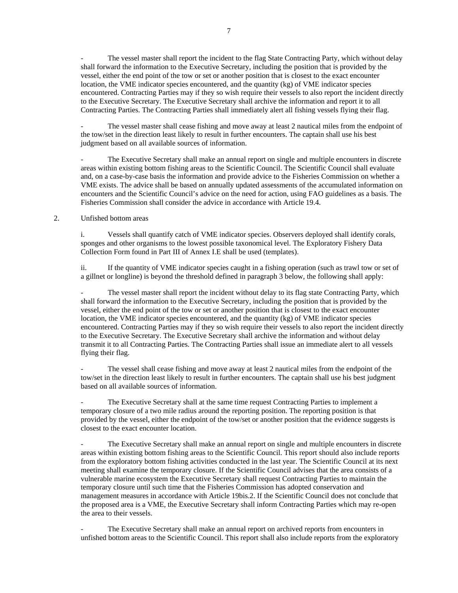The vessel master shall report the incident to the flag State Contracting Party, which without delay shall forward the information to the Executive Secretary, including the position that is provided by the vessel, either the end point of the tow or set or another position that is closest to the exact encounter location, the VME indicator species encountered, and the quantity (kg) of VME indicator species encountered. Contracting Parties may if they so wish require their vessels to also report the incident directly to the Executive Secretary. The Executive Secretary shall archive the information and report it to all Contracting Parties. The Contracting Parties shall immediately alert all fishing vessels flying their flag.

The vessel master shall cease fishing and move away at least 2 nautical miles from the endpoint of the tow/set in the direction least likely to result in further encounters. The captain shall use his best judgment based on all available sources of information.

The Executive Secretary shall make an annual report on single and multiple encounters in discrete areas within existing bottom fishing areas to the Scientific Council. The Scientific Council shall evaluate and, on a case-by-case basis the information and provide advice to the Fisheries Commission on whether a VME exists. The advice shall be based on annually updated assessments of the accumulated information on encounters and the Scientific Council's advice on the need for action, using FAO guidelines as a basis. The Fisheries Commission shall consider the advice in accordance with Article 19.4.

## 2. Unfished bottom areas

i. Vessels shall quantify catch of VME indicator species. Observers deployed shall identify corals, sponges and other organisms to the lowest possible taxonomical level. The Exploratory Fishery Data Collection Form found in Part III of Annex I.E shall be used (templates).

ii. If the quantity of VME indicator species caught in a fishing operation (such as trawl tow or set of a gillnet or longline) is beyond the threshold defined in paragraph 3 below, the following shall apply:

The vessel master shall report the incident without delay to its flag state Contracting Party, which shall forward the information to the Executive Secretary, including the position that is provided by the vessel, either the end point of the tow or set or another position that is closest to the exact encounter location, the VME indicator species encountered, and the quantity (kg) of VME indicator species encountered. Contracting Parties may if they so wish require their vessels to also report the incident directly to the Executive Secretary. The Executive Secretary shall archive the information and without delay transmit it to all Contracting Parties. The Contracting Parties shall issue an immediate alert to all vessels flying their flag.

The vessel shall cease fishing and move away at least 2 nautical miles from the endpoint of the tow/set in the direction least likely to result in further encounters. The captain shall use his best judgment based on all available sources of information.

The Executive Secretary shall at the same time request Contracting Parties to implement a temporary closure of a two mile radius around the reporting position. The reporting position is that provided by the vessel, either the endpoint of the tow/set or another position that the evidence suggests is closest to the exact encounter location.

The Executive Secretary shall make an annual report on single and multiple encounters in discrete areas within existing bottom fishing areas to the Scientific Council. This report should also include reports from the exploratory bottom fishing activities conducted in the last year. The Scientific Council at its next meeting shall examine the temporary closure. If the Scientific Council advises that the area consists of a vulnerable marine ecosystem the Executive Secretary shall request Contracting Parties to maintain the temporary closure until such time that the Fisheries Commission has adopted conservation and management measures in accordance with Article 19bis.2. If the Scientific Council does not conclude that the proposed area is a VME, the Executive Secretary shall inform Contracting Parties which may re-open the area to their vessels.

The Executive Secretary shall make an annual report on archived reports from encounters in unfished bottom areas to the Scientific Council. This report shall also include reports from the exploratory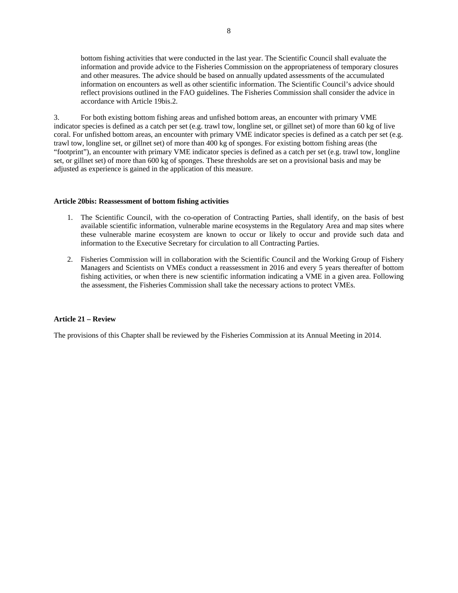bottom fishing activities that were conducted in the last year. The Scientific Council shall evaluate the information and provide advice to the Fisheries Commission on the appropriateness of temporary closures and other measures. The advice should be based on annually updated assessments of the accumulated information on encounters as well as other scientific information. The Scientific Council's advice should reflect provisions outlined in the FAO guidelines. The Fisheries Commission shall consider the advice in accordance with Article 19bis.2.

3. For both existing bottom fishing areas and unfished bottom areas, an encounter with primary VME indicator species is defined as a catch per set (e.g. trawl tow, longline set, or gillnet set) of more than 60 kg of live coral. For unfished bottom areas, an encounter with primary VME indicator species is defined as a catch per set (e.g. trawl tow, longline set, or gillnet set) of more than 400 kg of sponges. For existing bottom fishing areas (the "footprint"), an encounter with primary VME indicator species is defined as a catch per set (e.g. trawl tow, longline set, or gillnet set) of more than 600 kg of sponges. These thresholds are set on a provisional basis and may be adjusted as experience is gained in the application of this measure.

#### **Article 20bis: Reassessment of bottom fishing activities**

- 1. The Scientific Council, with the co-operation of Contracting Parties, shall identify, on the basis of best available scientific information, vulnerable marine ecosystems in the Regulatory Area and map sites where these vulnerable marine ecosystem are known to occur or likely to occur and provide such data and information to the Executive Secretary for circulation to all Contracting Parties.
- 2. Fisheries Commission will in collaboration with the Scientific Council and the Working Group of Fishery Managers and Scientists on VMEs conduct a reassessment in 2016 and every 5 years thereafter of bottom fishing activities, or when there is new scientific information indicating a VME in a given area. Following the assessment, the Fisheries Commission shall take the necessary actions to protect VMEs.

## **Article 21 – Review**

The provisions of this Chapter shall be reviewed by the Fisheries Commission at its Annual Meeting in 2014.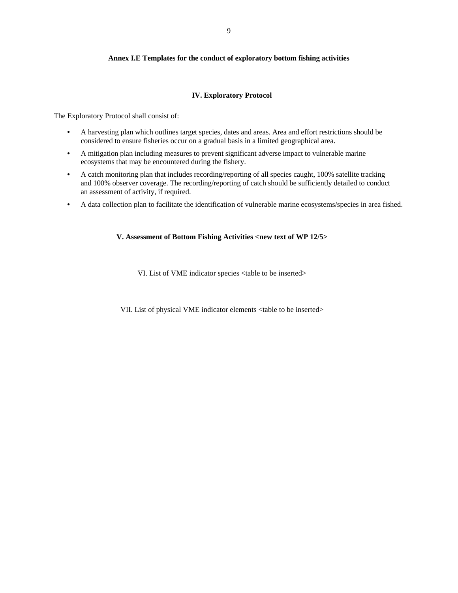## **Annex I.E Templates for the conduct of exploratory bottom fishing activities**

## **IV. Exploratory Protocol**

The Exploratory Protocol shall consist of:

- A harvesting plan which outlines target species, dates and areas. Area and effort restrictions should be considered to ensure fisheries occur on a gradual basis in a limited geographical area.
- A mitigation plan including measures to prevent significant adverse impact to vulnerable marine ecosystems that may be encountered during the fishery.
- A catch monitoring plan that includes recording/reporting of all species caught, 100% satellite tracking and 100% observer coverage. The recording/reporting of catch should be sufficiently detailed to conduct an assessment of activity, if required.
- A data collection plan to facilitate the identification of vulnerable marine ecosystems/species in area fished.

# **V. Assessment of Bottom Fishing Activities <new text of WP 12/5>**

VI. List of VME indicator species <table to be inserted>

VII. List of physical VME indicator elements <table to be inserted>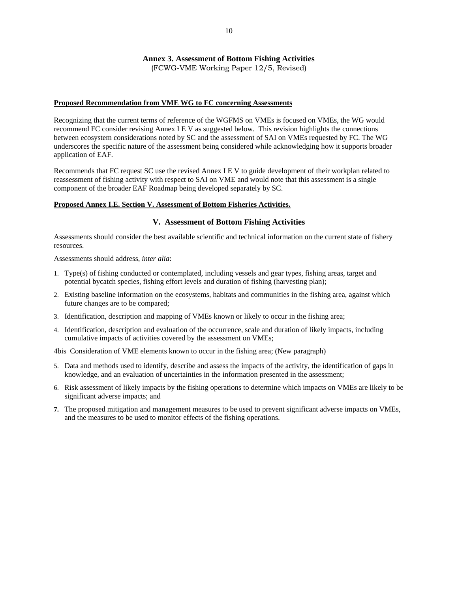# **Annex 3. Assessment of Bottom Fishing Activities**

(FCWG-VME Working Paper 12/5, Revised)

## **Proposed Recommendation from VME WG to FC concerning Assessments**

Recognizing that the current terms of reference of the WGFMS on VMEs is focused on VMEs, the WG would recommend FC consider revising Annex I E V as suggested below. This revision highlights the connections between ecosystem considerations noted by SC and the assessment of SAI on VMEs requested by FC. The WG underscores the specific nature of the assessment being considered while acknowledging how it supports broader application of EAF.

Recommends that FC request SC use the revised Annex I E V to guide development of their workplan related to reassessment of fishing activity with respect to SAI on VME and would note that this assessment is a single component of the broader EAF Roadmap being developed separately by SC.

#### **Proposed Annex I.E. Section V. Assessment of Bottom Fisheries Activities.**

## **V. Assessment of Bottom Fishing Activities**

Assessments should consider the best available scientific and technical information on the current state of fishery resources.

Assessments should address, *inter alia*:

- 1. Type(s) of fishing conducted or contemplated, including vessels and gear types, fishing areas, target and potential bycatch species, fishing effort levels and duration of fishing (harvesting plan);
- 2. Existing baseline information on the ecosystems, habitats and communities in the fishing area, against which future changes are to be compared;
- 3. Identification, description and mapping of VMEs known or likely to occur in the fishing area;
- 4. Identification, description and evaluation of the occurrence, scale and duration of likely impacts, including cumulative impacts of activities covered by the assessment on VMEs;

4bis Consideration of VME elements known to occur in the fishing area; (New paragraph)

- 5. Data and methods used to identify, describe and assess the impacts of the activity, the identification of gaps in knowledge, and an evaluation of uncertainties in the information presented in the assessment;
- 6. Risk assessment of likely impacts by the fishing operations to determine which impacts on VMEs are likely to be significant adverse impacts; and
- **7.** The proposed mitigation and management measures to be used to prevent significant adverse impacts on VMEs, and the measures to be used to monitor effects of the fishing operations.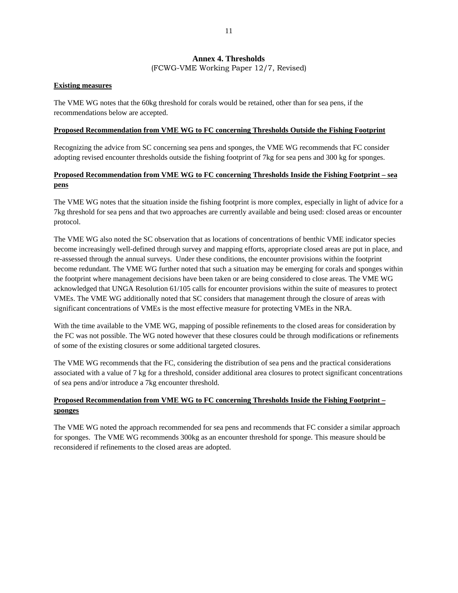# **Annex 4. Thresholds**

(FCWG-VME Working Paper 12/7, Revised)

## **Existing measures**

The VME WG notes that the 60kg threshold for corals would be retained, other than for sea pens, if the recommendations below are accepted.

## **Proposed Recommendation from VME WG to FC concerning Thresholds Outside the Fishing Footprint**

Recognizing the advice from SC concerning sea pens and sponges, the VME WG recommends that FC consider adopting revised encounter thresholds outside the fishing footprint of 7kg for sea pens and 300 kg for sponges.

# **Proposed Recommendation from VME WG to FC concerning Thresholds Inside the Fishing Footprint – sea pens**

The VME WG notes that the situation inside the fishing footprint is more complex, especially in light of advice for a 7kg threshold for sea pens and that two approaches are currently available and being used: closed areas or encounter protocol.

The VME WG also noted the SC observation that as locations of concentrations of benthic VME indicator species become increasingly well-defined through survey and mapping efforts, appropriate closed areas are put in place, and re-assessed through the annual surveys. Under these conditions, the encounter provisions within the footprint become redundant. The VME WG further noted that such a situation may be emerging for corals and sponges within the footprint where management decisions have been taken or are being considered to close areas. The VME WG acknowledged that UNGA Resolution 61/105 calls for encounter provisions within the suite of measures to protect VMEs. The VME WG additionally noted that SC considers that management through the closure of areas with significant concentrations of VMEs is the most effective measure for protecting VMEs in the NRA.

With the time available to the VME WG, mapping of possible refinements to the closed areas for consideration by the FC was not possible. The WG noted however that these closures could be through modifications or refinements of some of the existing closures or some additional targeted closures.

The VME WG recommends that the FC, considering the distribution of sea pens and the practical considerations associated with a value of 7 kg for a threshold, consider additional area closures to protect significant concentrations of sea pens and/or introduce a 7kg encounter threshold.

# **Proposed Recommendation from VME WG to FC concerning Thresholds Inside the Fishing Footprint – sponges**

The VME WG noted the approach recommended for sea pens and recommends that FC consider a similar approach for sponges. The VME WG recommends 300kg as an encounter threshold for sponge. This measure should be reconsidered if refinements to the closed areas are adopted.